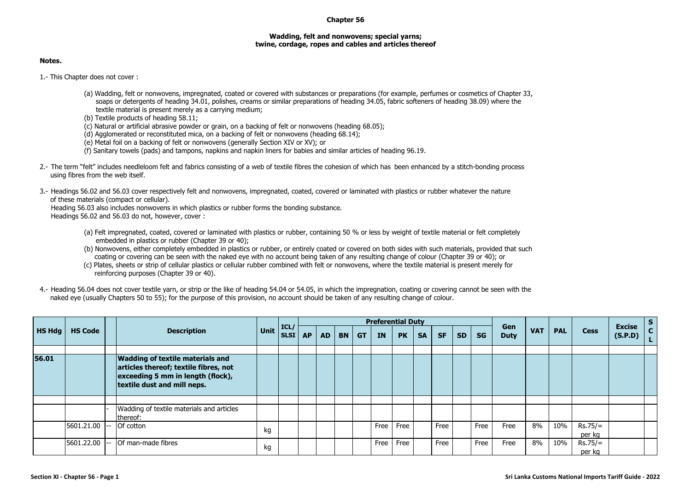## **Chapter 56**

## **Wadding, felt and nonwovens; special yarns; twine, cordage, ropes and cables and articles thereof**

## **Notes.**

1.- This Chapter does not cover :

- (a) Wadding, felt or nonwovens, impregnated, coated or covered with substances or preparations (for example, perfumes or cosmetics of Chapter 33, soaps or detergents of heading 34.01, polishes, creams or similar preparations of heading 34.05, fabric softeners of heading 38.09) where the textile material is present merely as a carrying medium;
- (b) Textile products of heading 58.11;
- (c) Natural or artificial abrasive powder or grain, on a backing of felt or nonwovens (heading 68.05);
- (d) Agglomerated or reconstituted mica, on a backing of felt or nonwovens (heading 68.14);
- (e) Metal foil on a backing of felt or nonwovens (generally Section XIV or XV); or
- (f) Sanitary towels (pads) and tampons, napkins and napkin liners for babies and similar articles of heading 96.19.
- 2.- The term "felt" includes needleloom felt and fabrics consisting of a web of textile fibres the cohesion of which has been enhanced by a stitch-bonding process using fibres from the web itself.
- 3.- Headings 56.02 and 56.03 cover respectively felt and nonwovens, impregnated, coated, covered or laminated with plastics or rubber whatever the nature of these materials (compact or cellular).

Heading 56.03 also includes nonwovens in which plastics or rubber forms the bonding substance. Headings 56.02 and 56.03 do not, however, cover :

- (a) Felt impregnated, coated, covered or laminated with plastics or rubber, containing 50 % or less by weight of textile material or felt completely embedded in plastics or rubber (Chapter 39 or 40);
- (b) Nonwovens, either completely embedded in plastics or rubber, or entirely coated or covered on both sides with such materials, provided that such coating or covering can be seen with the naked eye with no account being taken of any resulting change of colour (Chapter 39 or 40); or
- (c) Plates, sheets or strip of cellular plastics or cellular rubber combined with felt or nonwovens, where the textile material is present merely for reinforcing purposes (Chapter 39 or 40).
- 4.- Heading 56.04 does not cover textile yarn, or strip or the like of heading 54.04 or 54.05, in which the impregnation, coating or covering cannot be seen with the naked eye (usually Chapters 50 to 55); for the purpose of this provision, no account should be taken of any resulting change of colour.

|               |                |  | <b>Description</b>                                                                                                                                   | Unit | ICL/<br><b>SLSI</b> | <b>Preferential Duty</b> |           |           |           |      |           |           |           |           |           |                    |            |            |                     |                          | $\mathbf{s}$ |
|---------------|----------------|--|------------------------------------------------------------------------------------------------------------------------------------------------------|------|---------------------|--------------------------|-----------|-----------|-----------|------|-----------|-----------|-----------|-----------|-----------|--------------------|------------|------------|---------------------|--------------------------|--------------|
| <b>HS Hdg</b> | <b>HS Code</b> |  |                                                                                                                                                      |      |                     | <b>AP</b>                | <b>AD</b> | <b>BN</b> | <b>GT</b> | IN   | <b>PK</b> | <b>SA</b> | <b>SF</b> | <b>SD</b> | <b>SG</b> | Gen<br><b>Duty</b> | <b>VAT</b> | <b>PAL</b> | <b>Cess</b>         | <b>Excise</b><br>(S.P.D) | $\mathbf{C}$ |
| 56.01         |                |  | <b>Wadding of textile materials and</b><br>articles thereof; textile fibres, not<br>exceeding 5 mm in length (flock),<br>textile dust and mill neps. |      |                     |                          |           |           |           |      |           |           |           |           |           |                    |            |            |                     |                          |              |
|               |                |  | Wadding of textile materials and articles<br>thereof:                                                                                                |      |                     |                          |           |           |           |      |           |           |           |           |           |                    |            |            |                     |                          |              |
|               | 5601.21.00     |  | Of cotton                                                                                                                                            | kg   |                     |                          |           |           |           | Free | Free      |           | Free      |           | Free      | Free               | 8%         | 10%        | $Rs.75/=$<br>per kg |                          |              |
|               | 5601.22.00     |  | <b>Of man-made fibres</b>                                                                                                                            | kg   |                     |                          |           |           |           | Free | Free      |           | Free      |           | Free      | Free               | 8%         | 10%        | $Rs.75/=$<br>per kg |                          |              |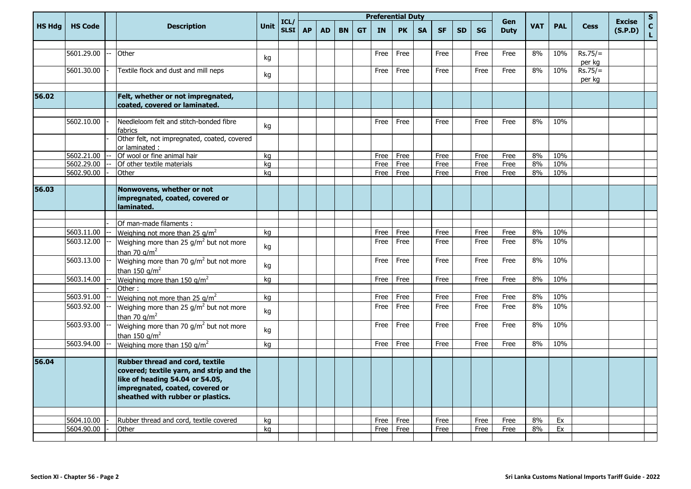|               |                | <b>Description</b>                                                                                                                                                                     | Unit | ICL/<br>SLSI <sup> </sup> |           |           |           |           |           | <b>Preferential Duty</b> |           |           |           |           |                    |            |            |                     |                          | $\mathsf S$                  |
|---------------|----------------|----------------------------------------------------------------------------------------------------------------------------------------------------------------------------------------|------|---------------------------|-----------|-----------|-----------|-----------|-----------|--------------------------|-----------|-----------|-----------|-----------|--------------------|------------|------------|---------------------|--------------------------|------------------------------|
| <b>HS Hdg</b> | <b>HS Code</b> |                                                                                                                                                                                        |      |                           | <b>AP</b> | <b>AD</b> | <b>BN</b> | <b>GT</b> | <b>IN</b> | <b>PK</b>                | <b>SA</b> | <b>SF</b> | <b>SD</b> | <b>SG</b> | Gen<br><b>Duty</b> | <b>VAT</b> | <b>PAL</b> | <b>Cess</b>         | <b>Excise</b><br>(S.P.D) | $\mathbf{C}$<br>$\mathbf{L}$ |
|               |                |                                                                                                                                                                                        |      |                           |           |           |           |           |           |                          |           |           |           |           |                    |            |            |                     |                          |                              |
|               | 5601.29.00     | Other                                                                                                                                                                                  | kg   |                           |           |           |           |           | Free      | Free                     |           | Free      |           | Free      | Free               | 8%         | 10%        | $Rs.75/=$<br>per kg |                          |                              |
|               | 5601.30.00     | Textile flock and dust and mill neps                                                                                                                                                   | kg   |                           |           |           |           |           | Free      | Free                     |           | Free      |           | Free      | Free               | 8%         | 10%        | $Rs.75/=$<br>per kg |                          |                              |
| 56.02         |                | Felt, whether or not impregnated,<br>coated, covered or laminated.                                                                                                                     |      |                           |           |           |           |           |           |                          |           |           |           |           |                    |            |            |                     |                          |                              |
|               |                |                                                                                                                                                                                        |      |                           |           |           |           |           |           |                          |           |           |           |           |                    |            |            |                     |                          |                              |
|               | 5602.10.00     | Needleloom felt and stitch-bonded fibre<br>fabrics                                                                                                                                     | kg   |                           |           |           |           |           | Free      | Free                     |           | Free      |           | Free      | Free               | 8%         | 10%        |                     |                          |                              |
|               |                | Other felt, not impregnated, coated, covered<br>or laminated :                                                                                                                         |      |                           |           |           |           |           |           |                          |           |           |           |           |                    |            |            |                     |                          |                              |
|               | 5602.21.00     | Of wool or fine animal hair                                                                                                                                                            | kg   |                           |           |           |           |           | Free      | Free                     |           | Free      |           | Free      | Free               | 8%         | 10%        |                     |                          |                              |
|               | 5602.29.00     | Of other textile materials                                                                                                                                                             | kg   |                           |           |           |           |           | Free      | Free                     |           | Free      |           | Free      | Free               | 8%         | 10%        |                     |                          |                              |
|               | 5602.90.00     | Other                                                                                                                                                                                  | kg   |                           |           |           |           |           | Free      | Free                     |           | Free      |           | Free      | Free               | 8%         | 10%        |                     |                          |                              |
|               |                |                                                                                                                                                                                        |      |                           |           |           |           |           |           |                          |           |           |           |           |                    |            |            |                     |                          |                              |
| 56.03         |                | Nonwovens, whether or not<br>impregnated, coated, covered or<br>laminated.                                                                                                             |      |                           |           |           |           |           |           |                          |           |           |           |           |                    |            |            |                     |                          |                              |
|               |                |                                                                                                                                                                                        |      |                           |           |           |           |           |           |                          |           |           |           |           |                    |            |            |                     |                          |                              |
|               |                | Of man-made filaments :                                                                                                                                                                |      |                           |           |           |           |           |           |                          |           |           |           |           |                    |            |            |                     |                          |                              |
|               | 5603.11.00     | Weighing not more than 25 $q/m^2$                                                                                                                                                      | kg   |                           |           |           |           |           | Free      | Free                     |           | Free      |           | Free      | Free               | 8%         | 10%        |                     |                          |                              |
|               | 5603.12.00     | Weighing more than 25 g/m <sup>2</sup> but not more<br>than 70 $q/m^2$                                                                                                                 | kg   |                           |           |           |           |           | Free      | Free                     |           | Free      |           | Free      | Free               | 8%         | 10%        |                     |                          |                              |
|               | 5603.13.00     | Weighing more than 70 g/m <sup>2</sup> but not more<br>than 150 $q/m^2$                                                                                                                | kg   |                           |           |           |           |           | Free      | Free                     |           | Free      |           | Free      | Free               | 8%         | 10%        |                     |                          |                              |
|               | 5603.14.00     | Weighing more than 150 $g/m^2$                                                                                                                                                         | kg   |                           |           |           |           |           | Free      | Free                     |           | Free      |           | Free      | Free               | 8%         | 10%        |                     |                          |                              |
|               |                | Other:                                                                                                                                                                                 |      |                           |           |           |           |           |           |                          |           |           |           |           |                    |            |            |                     |                          |                              |
|               | 5603.91.00     | Weighing not more than 25 $g/m^2$                                                                                                                                                      | kg   |                           |           |           |           |           | Free      | Free                     |           | Free      |           | Free      | Free               | 8%         | 10%        |                     |                          |                              |
|               | 5603.92.00     | Weighing more than 25 $g/m^2$ but not more<br>than 70 $q/m^2$                                                                                                                          | kg   |                           |           |           |           |           | Free      | Free                     |           | Free      |           | Free      | Free               | 8%         | 10%        |                     |                          |                              |
|               | 5603.93.00     | Weighing more than 70 g/m <sup>2</sup> but not more<br>than 150 $q/m^2$                                                                                                                | kg   |                           |           |           |           |           | Free      | Free                     |           | Free      |           | Free      | Free               | 8%         | 10%        |                     |                          |                              |
|               | 5603.94.00     | Weighing more than 150 g/m <sup>2</sup>                                                                                                                                                | kg   |                           |           |           |           |           | Free      | Free                     |           | Free      |           | Free      | Free               | 8%         | 10%        |                     |                          |                              |
|               |                |                                                                                                                                                                                        |      |                           |           |           |           |           |           |                          |           |           |           |           |                    |            |            |                     |                          |                              |
| 56.04         |                | Rubber thread and cord, textile<br>covered; textile yarn, and strip and the<br>like of heading 54.04 or 54.05,<br>impregnated, coated, covered or<br>sheathed with rubber or plastics. |      |                           |           |           |           |           |           |                          |           |           |           |           |                    |            |            |                     |                          |                              |
|               |                |                                                                                                                                                                                        |      |                           |           |           |           |           |           |                          |           |           |           |           |                    |            |            |                     |                          |                              |
|               | 5604.10.00     | Rubber thread and cord, textile covered                                                                                                                                                | kg   |                           |           |           |           |           | Free      | Free                     |           | Free      |           | Free      | Free               | 8%         | Ex         |                     |                          |                              |
|               | 5604.90.00     | Other                                                                                                                                                                                  | kg   |                           |           |           |           |           |           | Free Free                |           | Free      |           | Free      | Free               | 8%         | Ex         |                     |                          |                              |
|               |                |                                                                                                                                                                                        |      |                           |           |           |           |           |           |                          |           |           |           |           |                    |            |            |                     |                          |                              |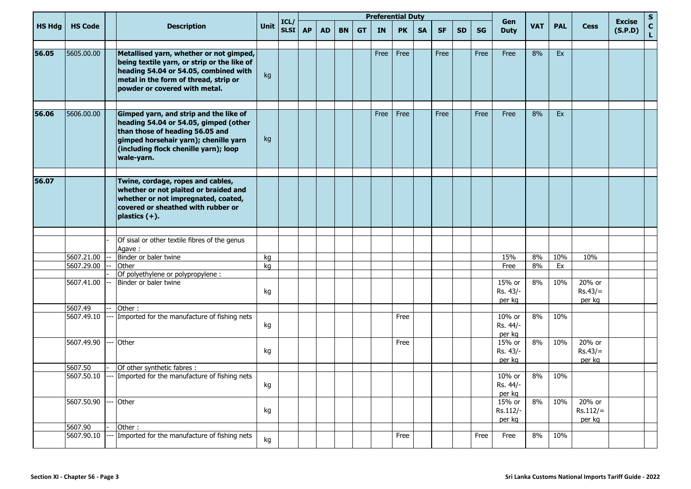|               |                |                                                                                                                                                                                                                    | Unit |                           |           |           |           |           |      | <b>Preferential Duty</b> |           |           |           |           |                                  |            |             |                                |                    | $\mathsf{s}$ |
|---------------|----------------|--------------------------------------------------------------------------------------------------------------------------------------------------------------------------------------------------------------------|------|---------------------------|-----------|-----------|-----------|-----------|------|--------------------------|-----------|-----------|-----------|-----------|----------------------------------|------------|-------------|--------------------------------|--------------------|--------------|
| <b>HS Hdg</b> | <b>HS Code</b> | <b>Description</b>                                                                                                                                                                                                 |      | ICL/<br>SLSI <sup> </sup> | <b>AP</b> | <b>AD</b> | <b>BN</b> | <b>GT</b> | IN.  | <b>PK</b>                | <b>SA</b> | <b>SF</b> | <b>SD</b> | <b>SG</b> | Gen<br><b>VAT</b><br><b>Duty</b> | <b>PAL</b> | <b>Cess</b> | <b>Excise</b><br>(S.P.D)       | $\mathbf{C}$<br>L. |              |
| 56.05         | 5605.00.00     | Metallised yarn, whether or not gimped,<br>being textile yarn, or strip or the like of<br>heading 54.04 or 54.05, combined with<br>metal in the form of thread, strip or<br>powder or covered with metal.          | kg   |                           |           |           |           |           | Free | Free                     |           | Free      |           | Free      | Free                             | 8%         | Ex          |                                |                    |              |
| 56.06         | 5606.00.00     | Gimped yarn, and strip and the like of<br>heading 54.04 or 54.05, gimped (other<br>than those of heading 56.05 and<br>gimped horsehair yarn); chenille yarn<br>(including flock chenille yarn); loop<br>wale-yarn. | kg   |                           |           |           |           |           | Free | Free                     |           | Free      |           | Free      | Free                             | 8%         | Ex          |                                |                    |              |
| 56.07         |                | Twine, cordage, ropes and cables,<br>whether or not plaited or braided and<br>whether or not impregnated, coated,<br>covered or sheathed with rubber or<br>$plastics (+).$                                         |      |                           |           |           |           |           |      |                          |           |           |           |           |                                  |            |             |                                |                    |              |
|               |                |                                                                                                                                                                                                                    |      |                           |           |           |           |           |      |                          |           |           |           |           |                                  |            |             |                                |                    |              |
|               |                | Of sisal or other textile fibres of the genus<br>Agave:                                                                                                                                                            |      |                           |           |           |           |           |      |                          |           |           |           |           |                                  |            |             |                                |                    |              |
|               | 5607.21.00     | Binder or baler twine                                                                                                                                                                                              | kg   |                           |           |           |           |           |      |                          |           |           |           |           | 15%                              | 8%         | 10%         | 10%                            |                    |              |
|               | 5607.29.00     | Other                                                                                                                                                                                                              | kg   |                           |           |           |           |           |      |                          |           |           |           |           | Free                             | 8%         | Ex          |                                |                    |              |
|               |                | Of polyethylene or polypropylene :                                                                                                                                                                                 |      |                           |           |           |           |           |      |                          |           |           |           |           |                                  |            |             |                                |                    |              |
|               | 5607.41.00     | Binder or baler twine                                                                                                                                                                                              | kg   |                           |           |           |           |           |      |                          |           |           |           |           | 15% or<br>Rs. 43/-<br>per kg     | 8%         | 10%         | 20% or<br>$Rs.43/=$<br>per kg  |                    |              |
|               | 5607.49        | Other:                                                                                                                                                                                                             |      |                           |           |           |           |           |      |                          |           |           |           |           |                                  |            |             |                                |                    |              |
|               | 5607.49.10     | Imported for the manufacture of fishing nets                                                                                                                                                                       | kg   |                           |           |           |           |           |      | Free                     |           |           |           |           | 10% or<br>Rs. 44/-<br>per kg     | 8%         | 10%         |                                |                    |              |
|               | 5607.49.90     | -- Other                                                                                                                                                                                                           | kg   |                           |           |           |           |           |      | Free                     |           |           |           |           | 15% or<br>Rs. 43/-<br>per kg     | 8%         | 10%         | 20% or<br>$Rs.43/=$<br>per kg  |                    |              |
|               | 5607.50        | Of other synthetic fabres :                                                                                                                                                                                        |      |                           |           |           |           |           |      |                          |           |           |           |           |                                  |            |             |                                |                    |              |
|               | 5607.50.10     | --- Imported for the manufacture of fishing nets                                                                                                                                                                   | kg   |                           |           |           |           |           |      |                          |           |           |           |           | 10% or<br>Rs. 44/-<br>per kg     | 8%         | 10%         |                                |                    |              |
|               | 5607.50.90     | -- Other                                                                                                                                                                                                           | kg   |                           |           |           |           |           |      |                          |           |           |           |           | 15% or<br>Rs.112/-<br>per kg     | 8%         | 10%         | 20% or<br>$Rs.112/=$<br>per kg |                    |              |
|               | 5607.90        | Other:                                                                                                                                                                                                             |      |                           |           |           |           |           |      |                          |           |           |           |           |                                  |            |             |                                |                    |              |
|               | 5607.90.10     | Imported for the manufacture of fishing nets                                                                                                                                                                       | kg   |                           |           |           |           |           |      | Free                     |           |           |           | Free      | Free                             | 8%         | 10%         |                                |                    |              |